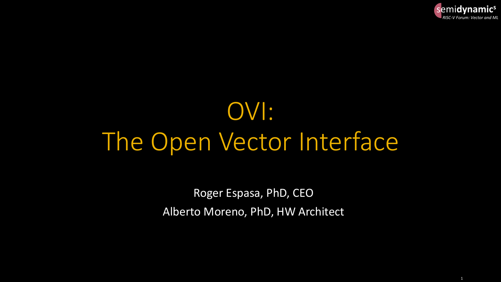

# OVI: The Open Vector Interface

Roger Espasa, PhD, CEO Alberto Moreno, PhD, HW Architect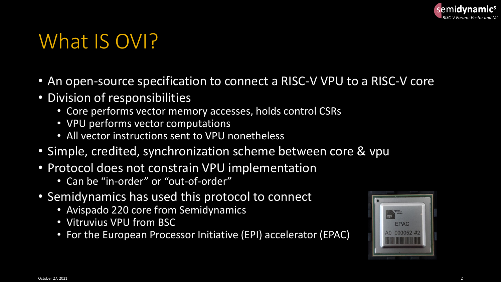

#### What IS OVI?

- An open-source specification to connect a RISC-V VPU to a RISC-V core
- Division of responsibilities
	- Core performs vector memory accesses, holds control CSRs
	- VPU performs vector computations
	- All vector instructions sent to VPU nonetheless
- Simple, credited, synchronization scheme between core & vpu
- Protocol does not constrain VPU implementation
	- Can be "in-order" or "out-of-order"
- Semidynamics has used this protocol to connect
	- Avispado 220 core from Semidynamics
	- Vitruvius VPU from BSC
	- For the European Processor Initiative (EPI) accelerator (EPAC)

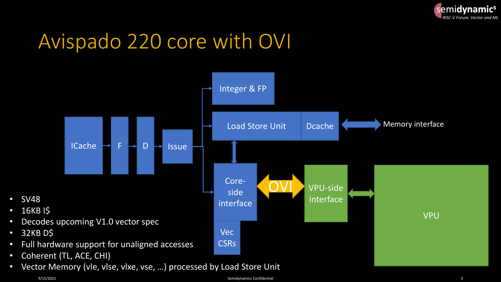

## Avispado 220 core with OVI



• SV48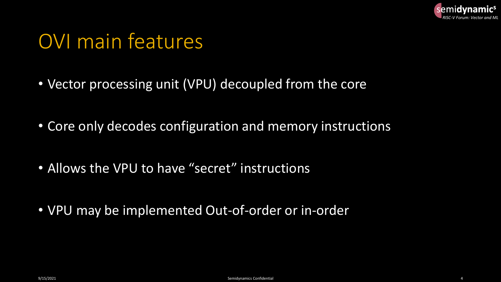

#### OVI main features

- Vector processing unit (VPU) decoupled from the core
- Core only decodes configuration and memory instructions
- Allows the VPU to have "secret" instructions
- VPU may be implemented Out-of-order or in-order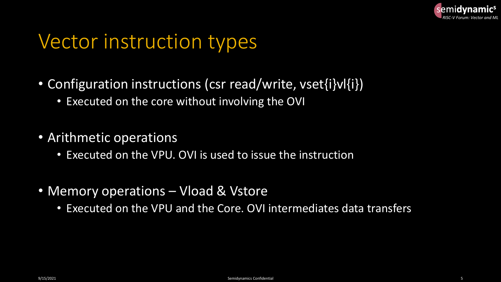

#### Vector instruction types

- Configuration instructions (csr read/write, vset{i}vl{i})
	- Executed on the core without involving the OVI
- Arithmetic operations
	- Executed on the VPU. OVI is used to issue the instruction
- Memory operations Vload & Vstore
	- Executed on the VPU and the Core. OVI intermediates data transfers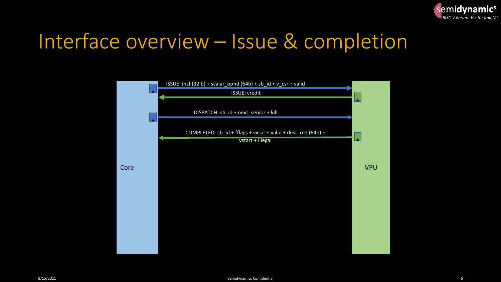

#### Interface overview – Issue & completion

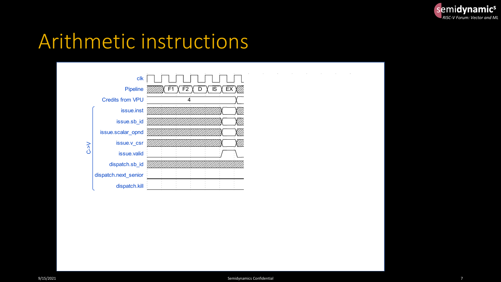

#### Arithmetic instructions

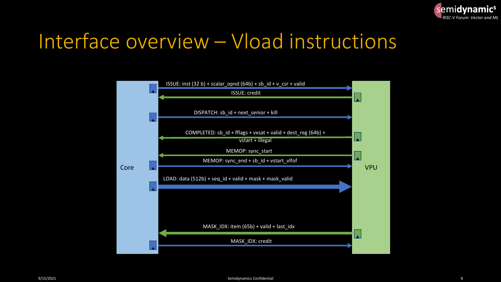

#### Interface overview – Vload instructions

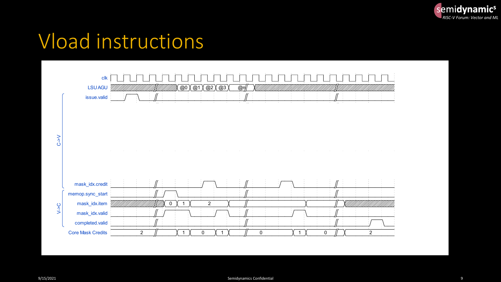

#### Vload instructions

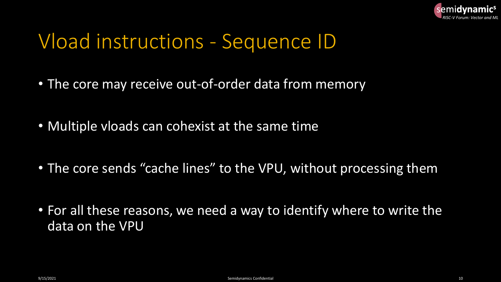

#### Vload instructions - Sequence ID

- The core may receive out-of-order data from memory
- Multiple vloads can cohexist at the same time
- The core sends "cache lines" to the VPU, without processing them
- For all these reasons, we need a way to identify where to write the data on the VPU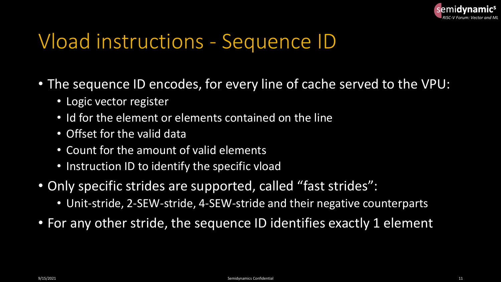

## Vload instructions - Sequence ID

- The sequence ID encodes, for every line of cache served to the VPU:
	- Logic vector register
	- Id for the element or elements contained on the line
	- Offset for the valid data
	- Count for the amount of valid elements
	- Instruction ID to identify the specific vload
- Only specific strides are supported, called "fast strides":
	- Unit-stride, 2-SEW-stride, 4-SEW-stride and their negative counterparts
- For any other stride, the sequence ID identifies exactly 1 element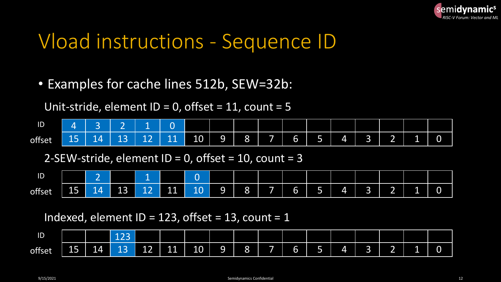

#### Vload instructions - Sequence ID

• Examples for cache lines 512b, SEW=32b:

Unit-stride, element ID = 0, offset =  $11$ , count =  $5$ 

| ID                  |                      |                                           | $\sim$                    |    |                       |    |        |   |            |        |        |    |                  |        |    |   |
|---------------------|----------------------|-------------------------------------------|---------------------------|----|-----------------------|----|--------|---|------------|--------|--------|----|------------------|--------|----|---|
| <b>CO</b><br>offset | 4 <sub>1</sub><br>-- | <b><i><u>ALCOHOL: 2009</u></i></b><br>- 4 | $\sim$<br><b>NEW</b><br>ᅩ | -- | 1 <sub>1</sub><br>--- | 10 | Q<br>- | 8 | <u>tan</u> | I<br>b | $\sim$ | Z, | $\sim$<br>$\sim$ | ≂<br>_ | -- | 0 |

2-SEW-stride, element ID = 0, offset =  $10$ , count = 3

| ID     |                                                            | $\overline{\phantom{0}}$ |              |              |                               |                     |                   |                |             |        |             |            |                          |                               |    |   |
|--------|------------------------------------------------------------|--------------------------|--------------|--------------|-------------------------------|---------------------|-------------------|----------------|-------------|--------|-------------|------------|--------------------------|-------------------------------|----|---|
| offset | $\mathbf{1}$ $\mathbf{1}$<br>$\overline{\phantom{a}}$<br>ᅩ | $\overline{4}$<br>--     | $\sim$<br>13 | $\sim$<br>-- | 11<br>and the property of the | $\sim$ $\sim$<br>ᅩ◡ | ⌒<br>u.<br>$\sim$ | റ<br>$\bullet$ | line of the | J<br>J | $\sim$<br>÷ | $\sqrt{ }$ | $\overline{\phantom{a}}$ | -<br>$\overline{\phantom{a}}$ | -- | ັ |

#### Indexed, element ID = 123, offset = 13, count = 1

| ID     |            |    | $\lambda$ $\lambda$<br>---   |              |                       |    |     |                       |        |   |           |   |                               |    |   |
|--------|------------|----|------------------------------|--------------|-----------------------|----|-----|-----------------------|--------|---|-----------|---|-------------------------------|----|---|
| offset | Z I I<br>∸ | 14 | . A<br><b>Contract</b><br>-- | $\sim$<br>-- | $\overline{1}$<br>--- | 10 | נשי | $\Omega$<br>$\bullet$ | $\sim$ | ≂ | <b>ZI</b> | ÷ | -<br>$\overline{\phantom{a}}$ | -- | ັ |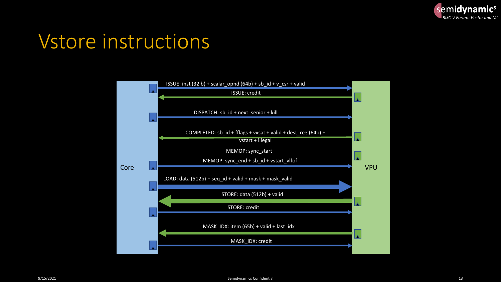

#### Vstore instructions

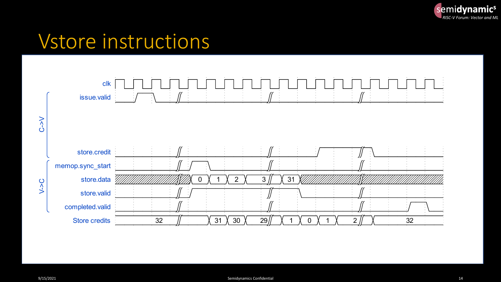

#### Vstore instructions

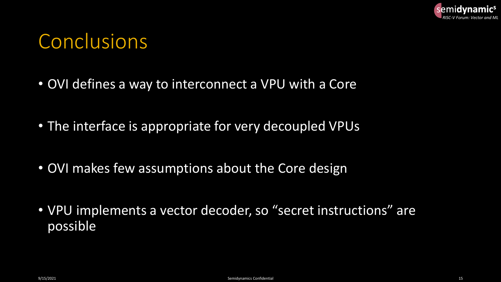

#### **Conclusions**

- OVI defines a way to interconnect a VPU with a Core
- The interface is appropriate for very decoupled VPUs
- OVI makes few assumptions about the Core design
- VPU implements a vector decoder, so "secret instructions" are possible